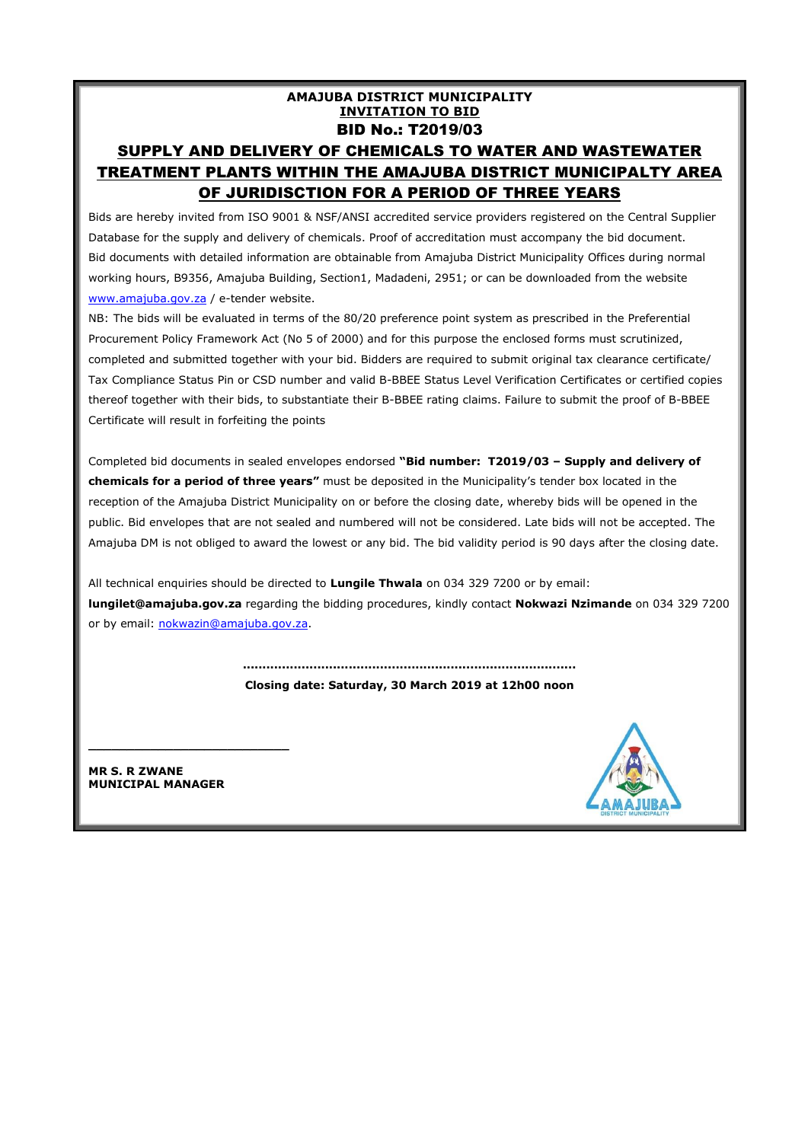#### **AMAJUBA DISTRICT MUNICIPALITY INVITATION TO BID** BID No.: T2019/03 SUPPLY AND DELIVERY OF CHEMICALS TO WATER AND WASTEWATER TREATMENT PLANTS WITHIN THE AMAJUBA DISTRICT MUNICIPALTY AREA OF JURIDISCTION FOR A PERIOD OF THREE YEARS

Bids are hereby invited from ISO 9001 & NSF/ANSI accredited service providers registered on the Central Supplier Database for the supply and delivery of chemicals. Proof of accreditation must accompany the bid document. Bid documents with detailed information are obtainable from Amajuba District Municipality Offices during normal working hours, B9356, Amajuba Building, Section1, Madadeni, 2951; or can be downloaded from the website [www.amajuba.gov.za](http://www.amajuba.gov.za/) / e-tender website.

NB: The bids will be evaluated in terms of the 80/20 preference point system as prescribed in the Preferential Procurement Policy Framework Act (No 5 of 2000) and for this purpose the enclosed forms must scrutinized, completed and submitted together with your bid. Bidders are required to submit original tax clearance certificate/ Tax Compliance Status Pin or CSD number and valid B-BBEE Status Level Verification Certificates or certified copies thereof together with their bids, to substantiate their B-BBEE rating claims. Failure to submit the proof of B-BBEE Certificate will result in forfeiting the points

Completed bid documents in sealed envelopes endorsed **"Bid number: T2019/03 – Supply and delivery of chemicals for a period of three years"** must be deposited in the Municipality's tender box located in the reception of the Amajuba District Municipality on or before the closing date, whereby bids will be opened in the public. Bid envelopes that are not sealed and numbered will not be considered. Late bids will not be accepted. The Amajuba DM is not obliged to award the lowest or any bid. The bid validity period is 90 days after the closing date.

All technical enquiries should be directed to **Lungile Thwala** on 034 329 7200 or by email: **lungilet@amajuba.gov.za** regarding the bidding procedures, kindly contact **Nokwazi Nzimande** on 034 329 7200 or by email: [nokwazin@amajuba.gov.za.](mailto:nokwazin@amajuba.gov.za)

> **..................................................................................... Closing date: Saturday, 30 March 2019 at 12h00 noon**

**MR S. R ZWANE MUNICIPAL MANAGER**

**\_\_\_\_\_\_\_\_\_\_\_\_\_\_\_\_\_\_\_\_\_\_\_\_\_\_**

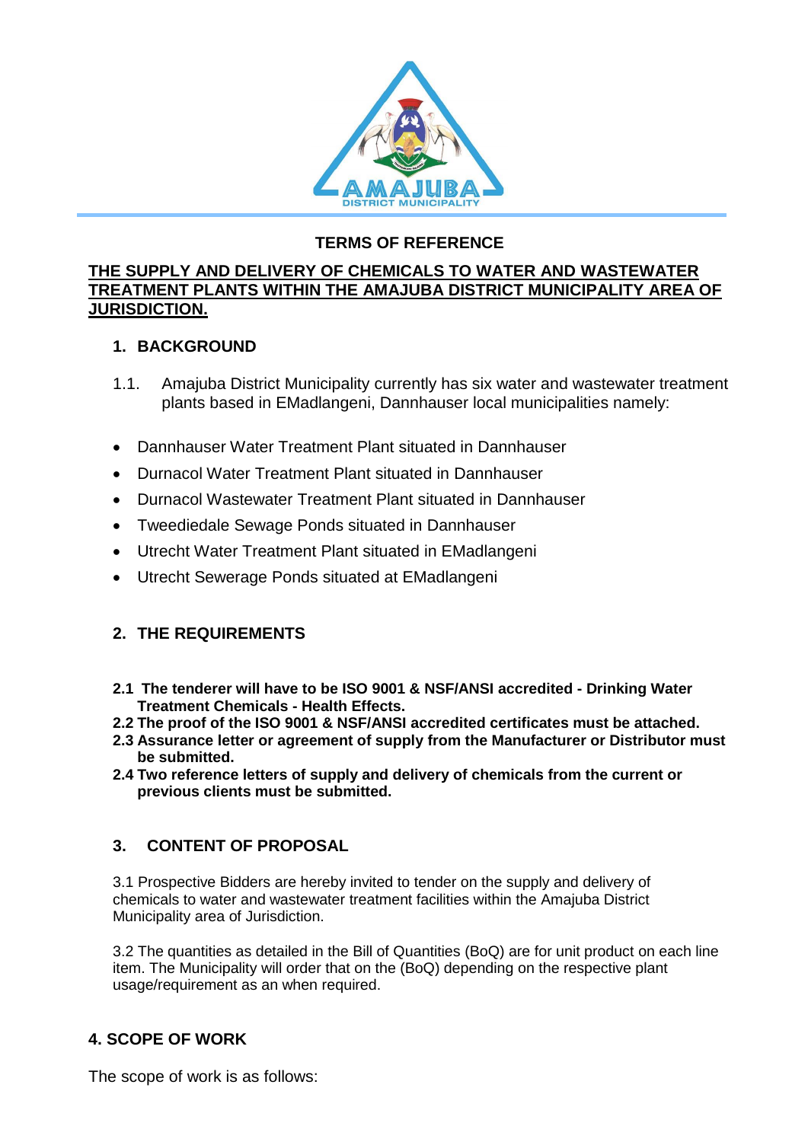

## **TERMS OF REFERENCE**

#### **THE SUPPLY AND DELIVERY OF CHEMICALS TO WATER AND WASTEWATER TREATMENT PLANTS WITHIN THE AMAJUBA DISTRICT MUNICIPALITY AREA OF JURISDICTION.**

## **1. BACKGROUND**

- 1.1. Amajuba District Municipality currently has six water and wastewater treatment plants based in EMadlangeni, Dannhauser local municipalities namely:
- Dannhauser Water Treatment Plant situated in Dannhauser
- Durnacol Water Treatment Plant situated in Dannhauser
- Durnacol Wastewater Treatment Plant situated in Dannhauser
- Tweediedale Sewage Ponds situated in Dannhauser
- Utrecht Water Treatment Plant situated in EMadlangeni
- Utrecht Sewerage Ponds situated at EMadlangeni

# **2. THE REQUIREMENTS**

- **2.1 The tenderer will have to be ISO 9001 & NSF/ANSI accredited - Drinking Water Treatment Chemicals - Health Effects.**
- **2.2 The proof of the ISO 9001 & NSF/ANSI accredited certificates must be attached.**
- **2.3 Assurance letter or agreement of supply from the Manufacturer or Distributor must be submitted.**
- **2.4 Two reference letters of supply and delivery of chemicals from the current or previous clients must be submitted.**

# **3. CONTENT OF PROPOSAL**

3.1 Prospective Bidders are hereby invited to tender on the supply and delivery of chemicals to water and wastewater treatment facilities within the Amajuba District Municipality area of Jurisdiction.

3.2 The quantities as detailed in the Bill of Quantities (BoQ) are for unit product on each line item. The Municipality will order that on the (BoQ) depending on the respective plant usage/requirement as an when required.

# **4. SCOPE OF WORK**

The scope of work is as follows: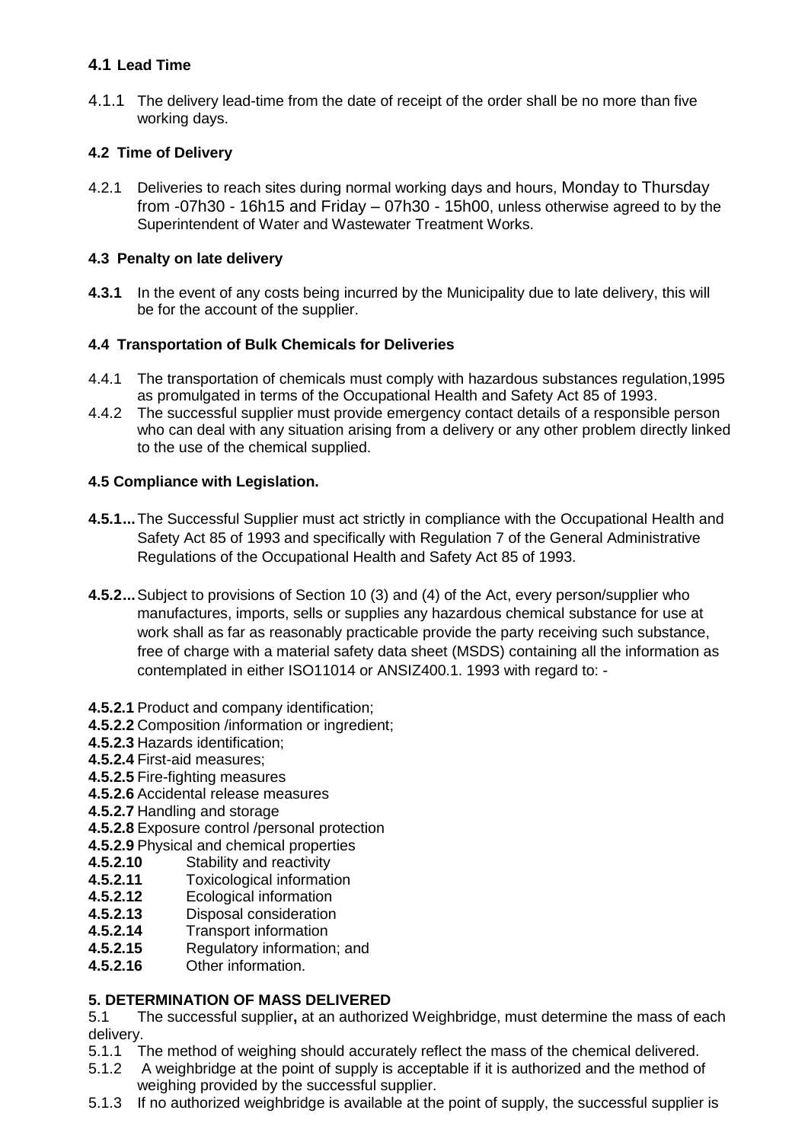#### **4.1 Lead Time**

4.1.1 The delivery lead-time from the date of receipt of the order shall be no more than five working days.

#### **4.2 Time of Delivery**

4.2.1 Deliveries to reach sites during normal working days and hours, Monday to Thursday from -07h30 - 16h15 and Friday – 07h30 - 15h00, unless otherwise agreed to by the Superintendent of Water and Wastewater Treatment Works.

#### **4.3 Penalty on late delivery**

**4.3.1** In the event of any costs being incurred by the Municipality due to late delivery, this will be for the account of the supplier.

#### **4.4 Transportation of Bulk Chemicals for Deliveries**

- 4.4.1 The transportation of chemicals must comply with hazardous substances regulation,1995 as promulgated in terms of the Occupational Health and Safety Act 85 of 1993.
- 4.4.2 The successful supplier must provide emergency contact details of a responsible person who can deal with any situation arising from a delivery or any other problem directly linked to the use of the chemical supplied.

#### **4.5 Compliance with Legislation.**

- **4.5.1...**The Successful Supplier must act strictly in compliance with the Occupational Health and Safety Act 85 of 1993 and specifically with Regulation 7 of the General Administrative Regulations of the Occupational Health and Safety Act 85 of 1993.
- **4.5.2...**Subject to provisions of Section 10 (3) and (4) of the Act, every person/supplier who manufactures, imports, sells or supplies any hazardous chemical substance for use at work shall as far as reasonably practicable provide the party receiving such substance, free of charge with a material safety data sheet (MSDS) containing all the information as contemplated in either ISO11014 or ANSIZ400.1. 1993 with regard to: -
- **4.5.2.1** Product and company identification;
- **4.5.2.2** Composition /information or ingredient;
- **4.5.2.3** Hazards identification;
- **4.5.2.4** First-aid measures;
- **4.5.2.5** Fire-fighting measures
- **4.5.2.6** Accidental release measures
- **4.5.2.7** Handling and storage
- **4.5.2.8** Exposure control /personal protection
- **4.5.2.9** Physical and chemical properties
- **4.5.2.10** Stability and reactivity
- **4.5.2.11** Toxicological information
- **4.5.2.12** Ecological information
- **4.5.2.13** Disposal consideration
- **4.5.2.14** Transport information
- **4.5.2.15** Regulatory information; and
- **4.5.2.16** Other information.

#### **5. DETERMINATION OF MASS DELIVERED**

5.1 The successful supplier**,** at an authorized Weighbridge, must determine the mass of each delivery.

- 5.1.1 The method of weighing should accurately reflect the mass of the chemical delivered.
- 5.1.2 A weighbridge at the point of supply is acceptable if it is authorized and the method of weighing provided by the successful supplier.
- 5.1.3 If no authorized weighbridge is available at the point of supply, the successful supplier is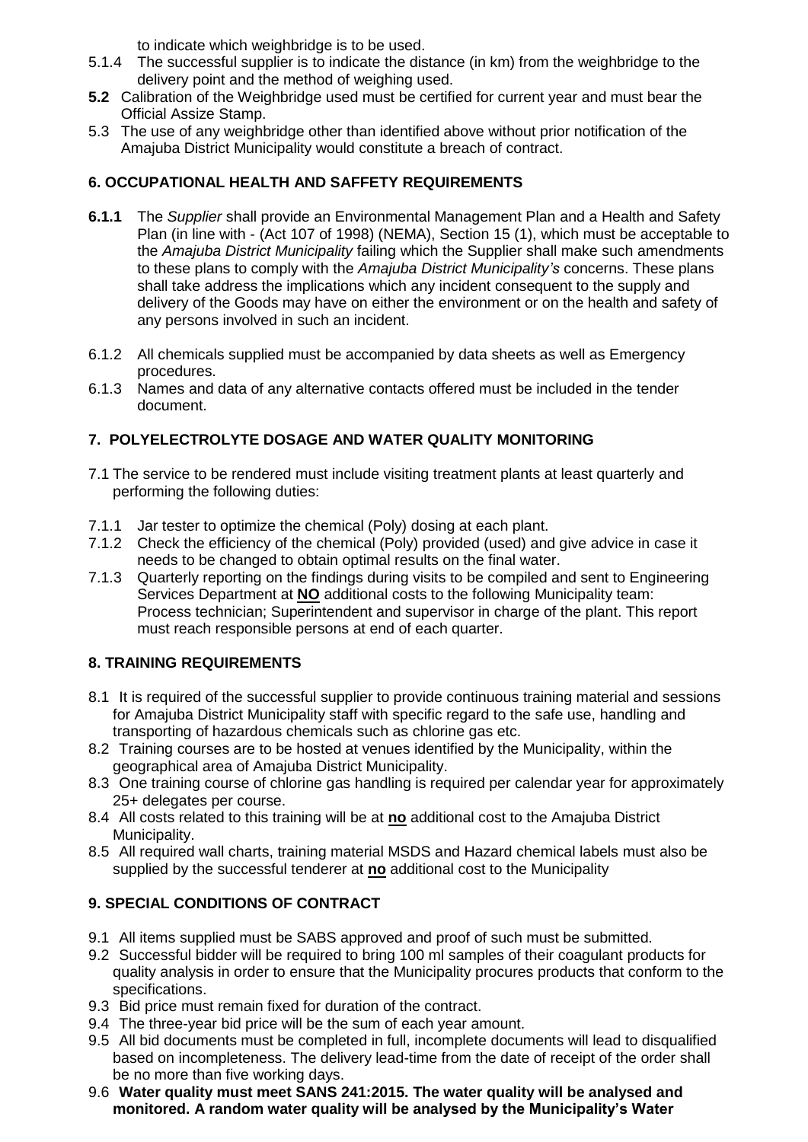to indicate which weighbridge is to be used.

- 5.1.4 The successful supplier is to indicate the distance (in km) from the weighbridge to the delivery point and the method of weighing used.
- **5.2** Calibration of the Weighbridge used must be certified for current year and must bear the Official Assize Stamp.
- 5.3 The use of any weighbridge other than identified above without prior notification of the Amajuba District Municipality would constitute a breach of contract.

#### **6. OCCUPATIONAL HEALTH AND SAFFETY REQUIREMENTS**

- **6.1.1** The *Supplier* shall provide an Environmental Management Plan and a Health and Safety Plan (in line with - (Act 107 of 1998) (NEMA), Section 15 (1), which must be acceptable to the *Amajuba District Municipality* failing which the Supplier shall make such amendments to these plans to comply with the *Amajuba District Municipality's* concerns. These plans shall take address the implications which any incident consequent to the supply and delivery of the Goods may have on either the environment or on the health and safety of any persons involved in such an incident.
- 6.1.2 All chemicals supplied must be accompanied by data sheets as well as Emergency procedures.
- 6.1.3 Names and data of any alternative contacts offered must be included in the tender document.

### **7. POLYELECTROLYTE DOSAGE AND WATER QUALITY MONITORING**

- 7.1 The service to be rendered must include visiting treatment plants at least quarterly and performing the following duties:
- 7.1.1 Jar tester to optimize the chemical (Poly) dosing at each plant.
- 7.1.2 Check the efficiency of the chemical (Poly) provided (used) and give advice in case it needs to be changed to obtain optimal results on the final water.
- 7.1.3 Quarterly reporting on the findings during visits to be compiled and sent to Engineering Services Department at **NO** additional costs to the following Municipality team: Process technician; Superintendent and supervisor in charge of the plant. This report must reach responsible persons at end of each quarter.

#### **8. TRAINING REQUIREMENTS**

- 8.1 It is required of the successful supplier to provide continuous training material and sessions for Amajuba District Municipality staff with specific regard to the safe use, handling and transporting of hazardous chemicals such as chlorine gas etc.
- 8.2 Training courses are to be hosted at venues identified by the Municipality, within the geographical area of Amajuba District Municipality.
- 8.3 One training course of chlorine gas handling is required per calendar year for approximately 25+ delegates per course.
- 8.4 All costs related to this training will be at **no** additional cost to the Amajuba District Municipality.
- 8.5 All required wall charts, training material MSDS and Hazard chemical labels must also be supplied by the successful tenderer at **no** additional cost to the Municipality

#### **9. SPECIAL CONDITIONS OF CONTRACT**

- 9.1 All items supplied must be SABS approved and proof of such must be submitted.
- 9.2 Successful bidder will be required to bring 100 ml samples of their coagulant products for quality analysis in order to ensure that the Municipality procures products that conform to the specifications.
- 9.3 Bid price must remain fixed for duration of the contract.
- 9.4 The three-year bid price will be the sum of each year amount.
- 9.5 All bid documents must be completed in full, incomplete documents will lead to disqualified based on incompleteness. The delivery lead-time from the date of receipt of the order shall be no more than five working days.
- 9.6 **Water quality must meet SANS 241:2015. The water quality will be analysed and monitored. A random water quality will be analysed by the Municipality's Water**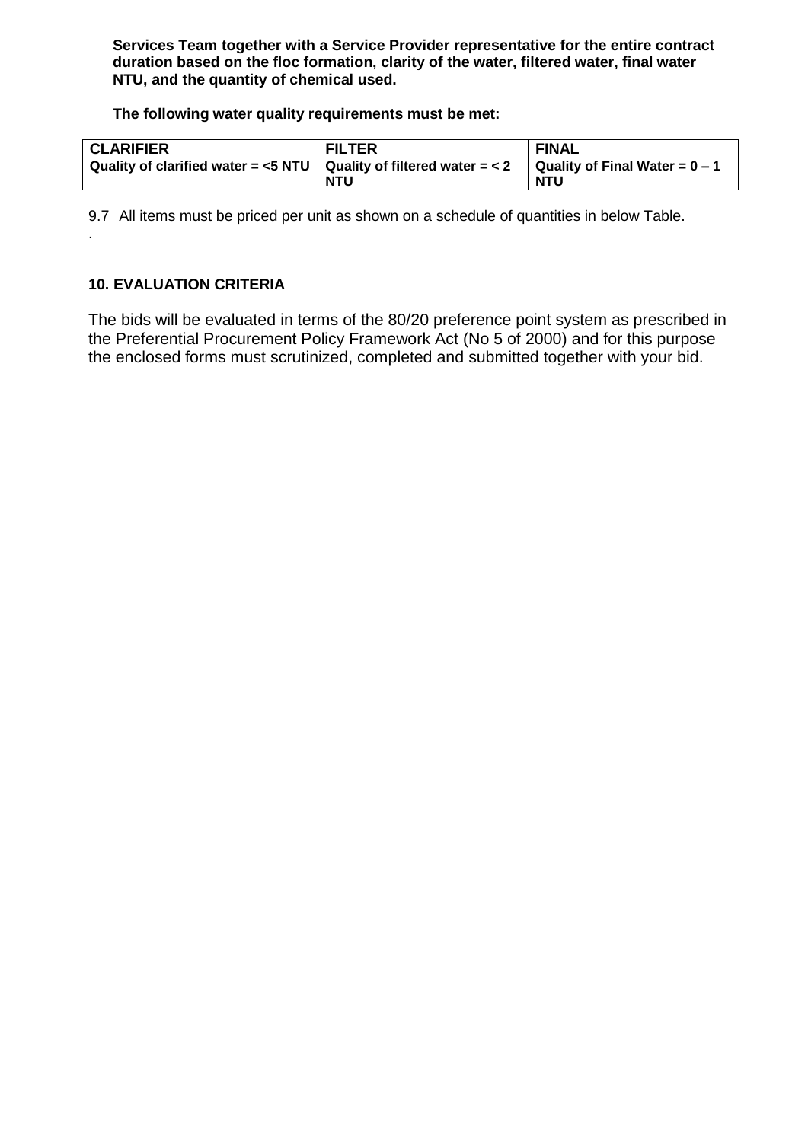**Services Team together with a Service Provider representative for the entire contract duration based on the floc formation, clarity of the water, filtered water, final water NTU, and the quantity of chemical used.** 

**The following water quality requirements must be met:**

| <b>CLARIFIER</b>                                                                                            | <b>FILTER</b> | <b>FINAL</b> |
|-------------------------------------------------------------------------------------------------------------|---------------|--------------|
| Quality of clarified water = <5 NTU   Quality of filtered water = < 2 $\,$   Quality of Final Water = 0 – 1 |               |              |
|                                                                                                             | <b>NTU</b>    | <b>NTU</b>   |

9.7 All items must be priced per unit as shown on a schedule of quantities in below Table.

#### **10. EVALUATION CRITERIA**

.

The bids will be evaluated in terms of the 80/20 preference point system as prescribed in the Preferential Procurement Policy Framework Act (No 5 of 2000) and for this purpose the enclosed forms must scrutinized, completed and submitted together with your bid.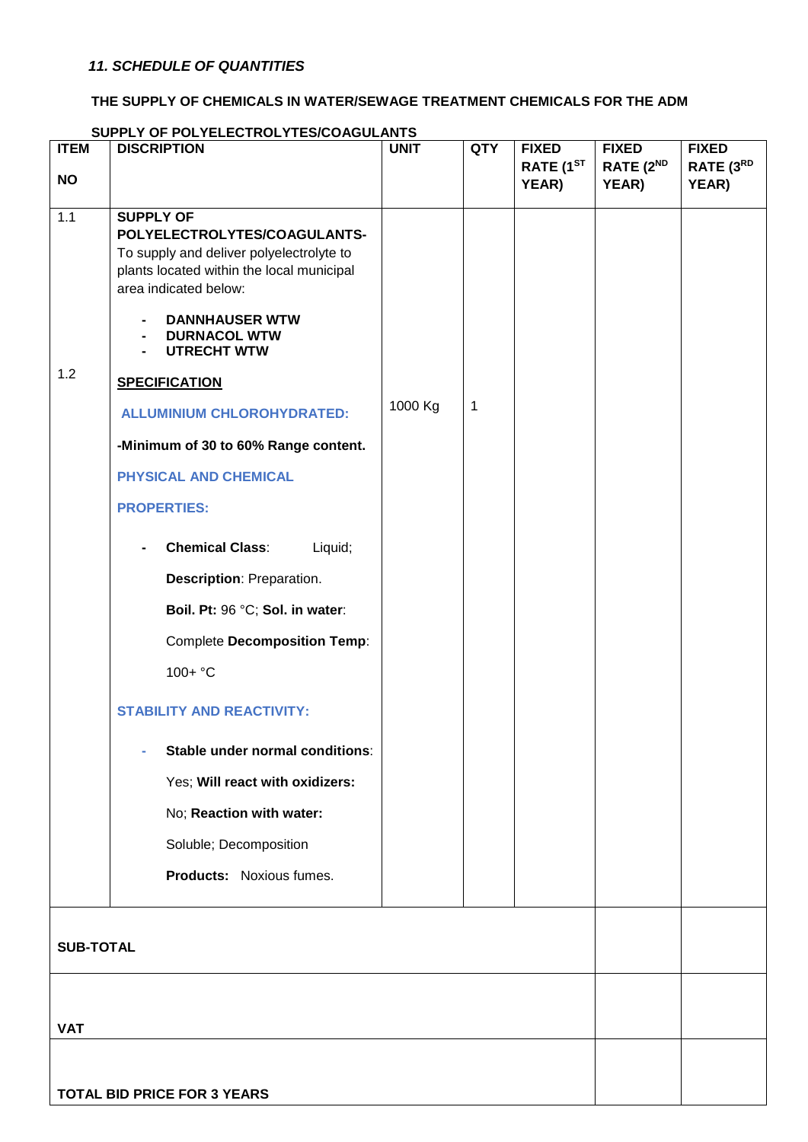#### **THE SUPPLY OF CHEMICALS IN WATER/SEWAGE TREATMENT CHEMICALS FOR THE ADM**

# **ITEM NO DISCRIPTION UNIT QTY FIXED RATE (1ST YEAR) FIXED RATE (2ND YEAR) FIXED RATE (3RD YEAR)** 1.1 1.2 **SUPPLY OF POLYELECTROLYTES/COAGULANTS-**To supply and deliver polyelectrolyte to plants located within the local municipal area indicated below: **- DANNHAUSER WTW - DURNACOL WTW - UTRECHT WTW SPECIFICATION ALLUMINIUM CHLOROHYDRATED: -Minimum of 30 to 60% Range content. PHYSICAL AND CHEMICAL PROPERTIES: - Chemical Class**: Liquid; **Description**: Preparation. **Boil. Pt:** 96 °C; **Sol. in water**: Complete **Decomposition Temp**: 100+ °C **STABILITY AND REACTIVITY: - Stable under normal conditions**: Yes; **Will react with oxidizers:** No; **Reaction with water:** Soluble; Decomposition **Products:** Noxious fumes. 1000 Kg | 1 **SUB-TOTAL VAT TOTAL BID PRICE FOR 3 YEARS**

#### **SUPPLY OF POLYELECTROLYTES/COAGULANTS**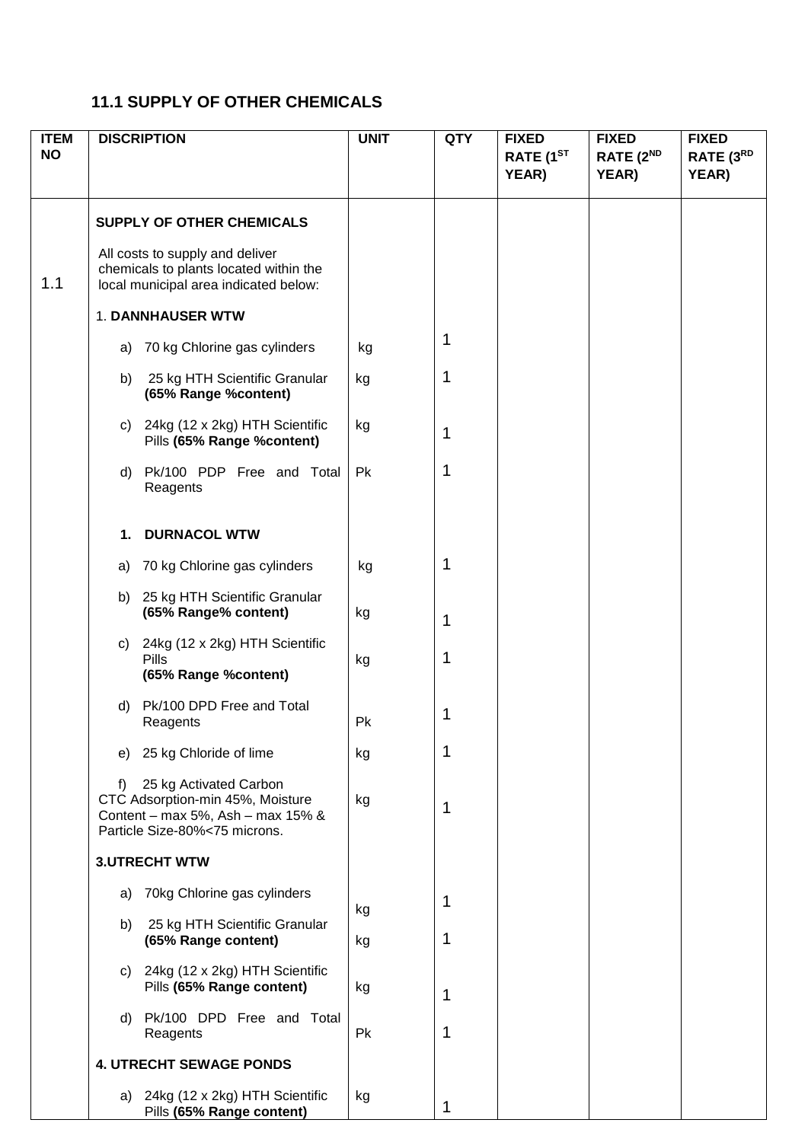# **11.1 SUPPLY OF OTHER CHEMICALS**

| <b>ITEM</b><br><b>NO</b> |                                | <b>DISCRIPTION</b>                                                                                                               | <b>UNIT</b> | <b>QTY</b> | <b>FIXED</b><br>RATE (1 <sup>ST</sup><br>YEAR) | <b>FIXED</b><br>RATE (2 <sup>ND</sup><br>YEAR) | <b>FIXED</b><br>RATE (3RD<br>YEAR) |
|--------------------------|--------------------------------|----------------------------------------------------------------------------------------------------------------------------------|-------------|------------|------------------------------------------------|------------------------------------------------|------------------------------------|
|                          |                                | <b>SUPPLY OF OTHER CHEMICALS</b><br>All costs to supply and deliver<br>chemicals to plants located within the                    |             |            |                                                |                                                |                                    |
| 1.1                      |                                | local municipal area indicated below:                                                                                            |             |            |                                                |                                                |                                    |
|                          |                                | 1. DANNHAUSER WTW                                                                                                                |             |            |                                                |                                                |                                    |
|                          |                                | a) 70 kg Chlorine gas cylinders                                                                                                  | kg          | 1          |                                                |                                                |                                    |
|                          | b)                             | 25 kg HTH Scientific Granular<br>(65% Range %content)                                                                            | kg          | 1          |                                                |                                                |                                    |
|                          |                                | c) 24kg (12 x 2kg) HTH Scientific<br>Pills (65% Range %content)                                                                  | kg          | 1          |                                                |                                                |                                    |
|                          |                                | d) Pk/100 PDP Free and Total<br>Reagents                                                                                         | Pk          | 1          |                                                |                                                |                                    |
|                          | 1.                             | <b>DURNACOL WTW</b>                                                                                                              |             |            |                                                |                                                |                                    |
|                          | a)                             | 70 kg Chlorine gas cylinders                                                                                                     | kg          | 1          |                                                |                                                |                                    |
|                          |                                | b) 25 kg HTH Scientific Granular<br>(65% Range% content)                                                                         | kg          | 1          |                                                |                                                |                                    |
|                          | C)                             | 24kg (12 x 2kg) HTH Scientific<br><b>Pills</b><br>(65% Range % content)                                                          | kg          | 1          |                                                |                                                |                                    |
|                          | d)                             | Pk/100 DPD Free and Total<br>Reagents                                                                                            | Pk          | 1          |                                                |                                                |                                    |
|                          | e)                             | 25 kg Chloride of lime                                                                                                           | kg          | 1          |                                                |                                                |                                    |
|                          | f)                             | 25 kg Activated Carbon<br>CTC Adsorption-min 45%, Moisture<br>Content - max 5%, Ash - max 15% &<br>Particle Size-80%<75 microns. | kg          | 1          |                                                |                                                |                                    |
|                          | <b>3.UTRECHT WTW</b>           |                                                                                                                                  |             |            |                                                |                                                |                                    |
|                          | a)                             | 70kg Chlorine gas cylinders                                                                                                      | kg          | 1          |                                                |                                                |                                    |
|                          | b)                             | 25 kg HTH Scientific Granular<br>(65% Range content)                                                                             | kg          | 1          |                                                |                                                |                                    |
|                          |                                | c) 24kg (12 x 2kg) HTH Scientific<br>Pills (65% Range content)                                                                   | kg          | 1          |                                                |                                                |                                    |
|                          |                                | d) Pk/100 DPD Free and Total<br>Reagents                                                                                         | Pk          | 1          |                                                |                                                |                                    |
|                          | <b>4. UTRECHT SEWAGE PONDS</b> |                                                                                                                                  |             |            |                                                |                                                |                                    |
|                          |                                | a) 24kg (12 x 2kg) HTH Scientific<br>Pills (65% Range content)                                                                   | kg          | 1          |                                                |                                                |                                    |